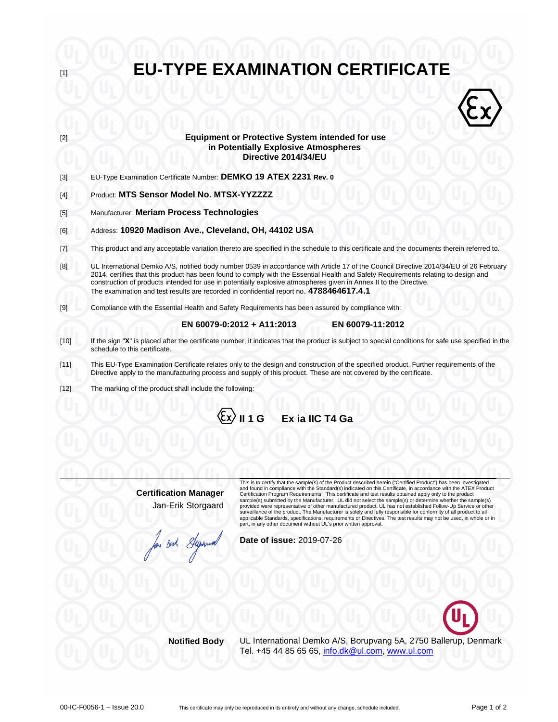| [1]    | <b>EU-TYPE EXAMINATION CERTIFICATE</b>                                                                                                                                                                                                                                                                                                                                                              |  |  |
|--------|-----------------------------------------------------------------------------------------------------------------------------------------------------------------------------------------------------------------------------------------------------------------------------------------------------------------------------------------------------------------------------------------------------|--|--|
|        |                                                                                                                                                                                                                                                                                                                                                                                                     |  |  |
|        |                                                                                                                                                                                                                                                                                                                                                                                                     |  |  |
| $[2]$  | <b>Equipment or Protective System intended for use</b><br>in Potentially Explosive Atmospheres<br>Directive 2014/34/EU                                                                                                                                                                                                                                                                              |  |  |
| $[3]$  | EU-Type Examination Certificate Number: DEMKO 19 ATEX 2231 Rev. 0                                                                                                                                                                                                                                                                                                                                   |  |  |
| $[4]$  | Product: MTS Sensor Model No. MTSX-YYZZZZ                                                                                                                                                                                                                                                                                                                                                           |  |  |
| $[5]$  | Manufacturer: Meriam Process Technologies                                                                                                                                                                                                                                                                                                                                                           |  |  |
| [6]    | Address: 10920 Madison Ave., Cleveland, OH, 44102 USA                                                                                                                                                                                                                                                                                                                                               |  |  |
| $[7]$  | This product and any acceptable variation thereto are specified in the schedule to this certificate and the documents therein referred to.                                                                                                                                                                                                                                                          |  |  |
| [8]    | UL International Demko A/S, notified body number 0539 in accordance with Article 17 of the Council Directive 2014/34/EU of 26 February<br>2014, certifies that this product has been found to comply with the Essential Health and Safety Requirements relating to design and<br>construction of products intended for use in potentially explosive atmospheres given in Annex II to the Directive. |  |  |
|        | The examination and test results are recorded in confidential report no. 4788464617.4.1                                                                                                                                                                                                                                                                                                             |  |  |
| [9]    | Compliance with the Essential Health and Safety Requirements has been assured by compliance with:                                                                                                                                                                                                                                                                                                   |  |  |
|        | EN 60079-0:2012 + A11:2013<br>EN 60079-11:2012                                                                                                                                                                                                                                                                                                                                                      |  |  |
| $[10]$ | If the sign "X" is placed after the certificate number, it indicates that the product is subject to special conditions for safe use specified in the<br>schedule to this certificate.                                                                                                                                                                                                               |  |  |
| $[11]$ | This EU-Type Examination Certificate relates only to the design and construction of the specified product. Further requirements of the<br>Directive apply to the manufacturing process and supply of this product. These are not covered by the certificate.                                                                                                                                        |  |  |
| $[12]$ | The marking of the product shall include the following:                                                                                                                                                                                                                                                                                                                                             |  |  |
|        | $\langle \xi$ x $\rangle$ II 1 G Ex ia IIC T4 Ga                                                                                                                                                                                                                                                                                                                                                    |  |  |

**Certification Manager** Jan-Erik Storgaard This is to certify that the sample(s) of the Product described herein ("Certified Product") has been investigated and found in compliance with the Standard(s) indicated on this Certificate, in accordance with the ATEX Product Certification Program Requirements. This certificate and test results obtained apply only to the product<br>sample(s) submitted by the Manufacturer. UL did not select the sample(s) or determine whether the sample(s)<br>provided part, in any other document without UL's prior written approval.

**Date of issue:** 2019-07-26

But Superior

**Notified Body** UL International Demko A/S, Borupvang 5A, 2750 Ballerup, Denmark Tel. +45 44 85 65 65, info.dk@ul.com, www.ul.com